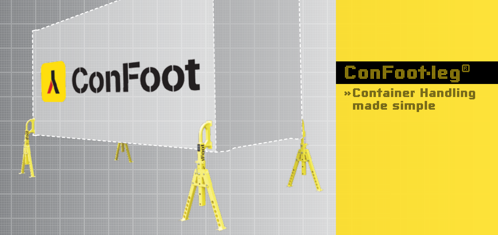

# ConFoot-leg®

»Container Handling made simple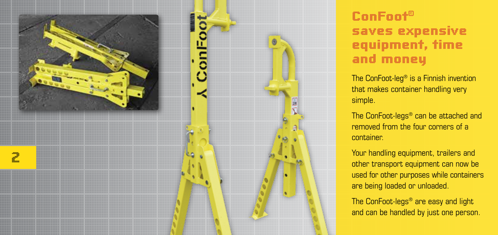

#### ConFoot® saves expensive equipment, time and money

The ConFoot-leg ® is a Finnish invention that makes container handling very simple.

The ConFoot-legs ® can be attached and removed from the four corners of a container.

Your handling equipment, trailers and other transport equipment can now be used for other purposes while containers are being loaded or unloaded.

The ConFoot-legs ® are easy and light and can be handled by just one person.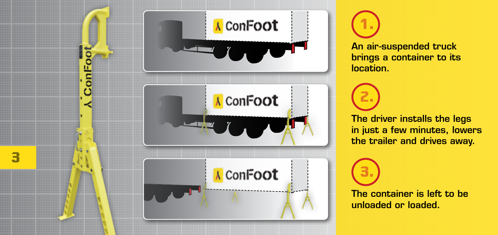

An air-suspended truck brings a container to its location.

1.

2.

3.

The driver installs the legs in just a few minutes, lowers the trailer and drives away.

The container is left to be unloaded or loaded.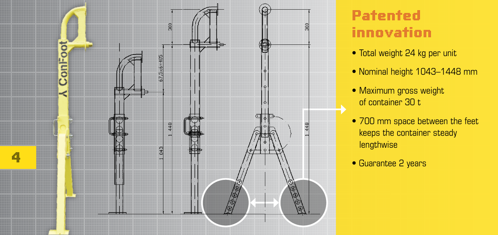

## Patented innovation

- Total weight 24 kg per unit
- Nominal height 1043–1448 mm
- Maximum gross weight of container 30 t
- 700 mm space between the feet keeps the container steady lengthwise
- Guarantee 2 years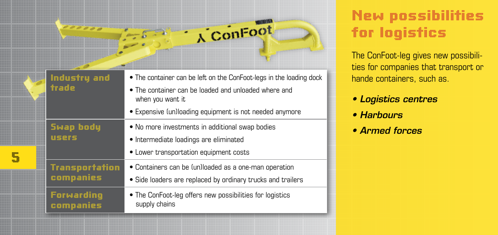| <b>A</b> ConFoot                   |                                                                                                                                                                                                            |
|------------------------------------|------------------------------------------------------------------------------------------------------------------------------------------------------------------------------------------------------------|
| Industry and<br>trade              | • The container can be left on the ConFoot-legs in the loading dock<br>• The container can be loaded and unloaded where and<br>when you want it<br>• Expensive (un)loading equipment is not needed anymore |
| <b>Swap body</b><br><b>USRIS</b>   | • No more investments in additional swap bodies<br>• Intermediate loadings are eliminated<br>• Lower transportation equipment costs                                                                        |
| <b>Transportation</b><br>companies | • Containers can be (un)loaded as a one-man operation<br>• Side loaders are replaced by ordinary trucks and trailers                                                                                       |
| Forwarding<br>companies            | • The ConFoot-leg offers new possibilities for logistics<br>supply chains                                                                                                                                  |

5

### New possibilities for logistics

The ConFoot-leg gives new possibilities for companies that transport or hande containers, such as.

- Logistics centres
- Harbours
- Armed forces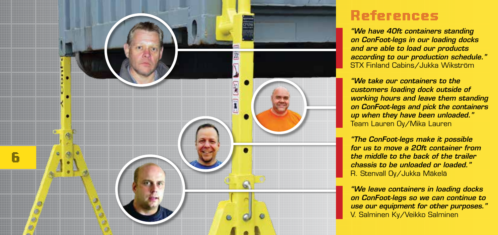

#### References

"We have 40ft containers standing on ConFoot-legs in our loading docks and are able to load our products according to our production schedule." STX Finland Cabins/Jukka Wikström

"We take our containers to the customers loading dock outside of working hours and leave them standing on ConFoot-legs and pick the containers up when they have been unloaded." Team Lauren Oy/Mika Lauren

"The ConFoot-legs make it possible for us to move a 20ft container from the middle to the back of the trailer chassis to be unloaded or loaded." R. Stenvall Oy/Jukka Mäkelä

"We leave containers in loading docks on ConFoot-legs so we can continue to use our equipment for other purposes." V. Salminen Ky/Veikko Salminen